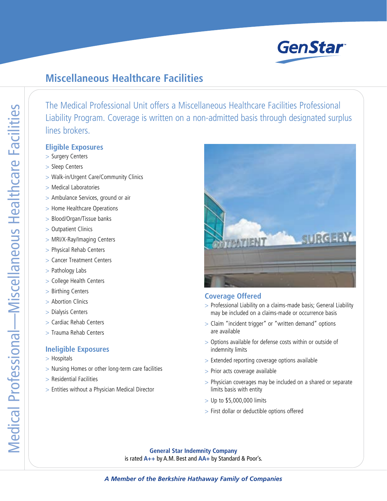

## **Miscellaneous Healthcare Facilities**

The Medical Professional Unit offers a Miscellaneous Healthcare Facilities Professional Liability Program. Coverage is written on a non-admitted basis through designated surplus lines brokers.

## **Eligible Exposures**

- > Surgery Centers
- > Sleep Centers
- > Walk-in/Urgent Care/Community Clinics
- > Medical Laboratories
- > Ambulance Services, ground or air
- > Home Healthcare Operations
- > Blood/Organ/Tissue banks
- > Outpatient Clinics
- > MRI/X-Ray/Imaging Centers
- > Physical Rehab Centers
- > Cancer Treatment Centers
- > Pathology Labs
- > College Health Centers
- > Birthing Centers
- > Abortion Clinics
- > Dialysis Centers
- > Cardiac Rehab Centers
- > Trauma Rehab Centers

## **Ineligible Exposures**

- > Hospitals
- > Nursing Homes or other long-term care facilities
- > Residential Facilities
- > Entities without a Physician Medical Director



## **Coverage Offered**

- > Professional Liability on a claims-made basis; General Liability may be included on a claims-made or occurrence basis
- > Claim "incident trigger" or "written demand" options are available
- > Options available for defense costs within or outside of indemnity limits
- > Extended reporting coverage options available
- > Prior acts coverage available
- > Physician coverages may be included on a shared or separate limits basis with entity
- > Up to \$5,000,000 limits
- > First dollar or deductible options offered

**General Star Indemnity Company** is rated **A++** by A.M. Best and **AA+** by Standard & Poor's.